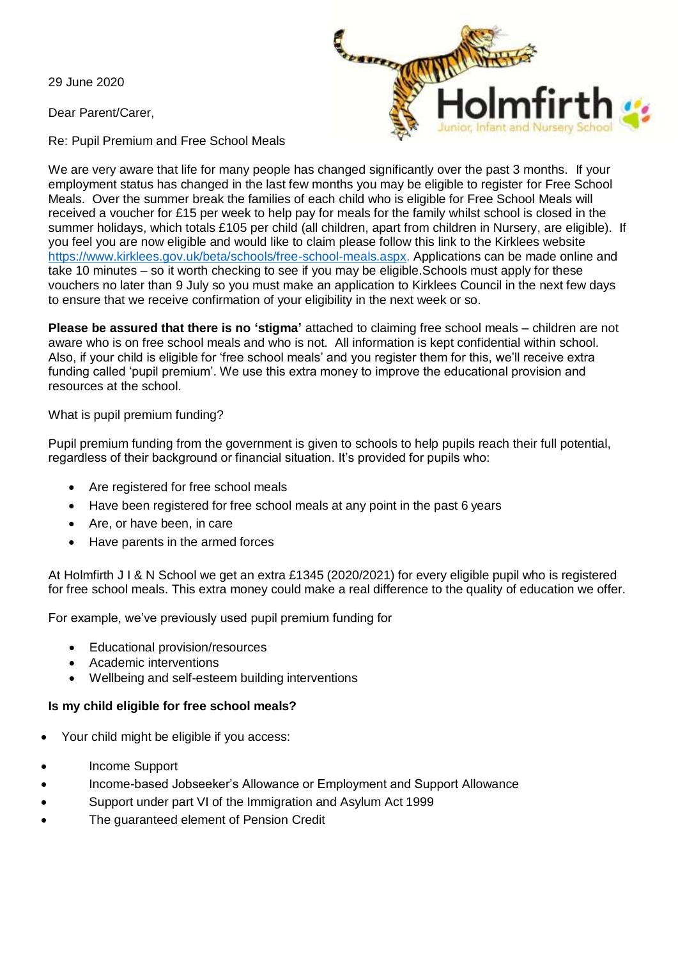29 June 2020

Dear Parent/Carer,



Re: Pupil Premium and Free School Meals

We are very aware that life for many people has changed significantly over the past 3 months. If your employment status has changed in the last few months you may be eligible to register for Free School Meals. Over the summer break the families of each child who is eligible for Free School Meals will received a voucher for £15 per week to help pay for meals for the family whilst school is closed in the summer holidays, which totals £105 per child (all children, apart from children in Nursery, are eligible). If you feel you are now eligible and would like to claim please follow this link to the Kirklees website [https://www.kirklees.gov.uk/beta/schools/free-school-meals.aspx.](https://www.kirklees.gov.uk/beta/schools/free-school-meals.aspx) Applications can be made online and take 10 minutes – so it worth checking to see if you may be eligible.Schools must apply for these vouchers no later than 9 July so you must make an application to Kirklees Council in the next few days to ensure that we receive confirmation of your eligibility in the next week or so.

**Please be assured that there is no 'stigma'** attached to claiming free school meals – children are not aware who is on free school meals and who is not. All information is kept confidential within school. Also, if your child is eligible for 'free school meals' and you register them for this, we'll receive extra funding called 'pupil premium'. We use this extra money to improve the educational provision and resources at the school.

What is pupil premium funding?

Pupil premium funding from the government is given to schools to help pupils reach their full potential, regardless of their background or financial situation. It's provided for pupils who:

- Are registered for free school meals
- Have been registered for free school meals at any point in the past 6 years
- Are, or have been, in care
- Have parents in the armed forces

At Holmfirth J I & N School we get an extra £1345 (2020/2021) for every eligible pupil who is registered for free school meals. This extra money could make a real difference to the quality of education we offer.

For example, we've previously used pupil premium funding for

- Educational provision/resources
- Academic interventions
- Wellbeing and self-esteem building interventions

## **Is my child eligible for free school meals?**

- Your child might be eligible if you access:
- Income Support
- Income-based Jobseeker's Allowance or Employment and Support Allowance
- Support under part VI of the Immigration and Asylum Act 1999
- The guaranteed element of Pension Credit